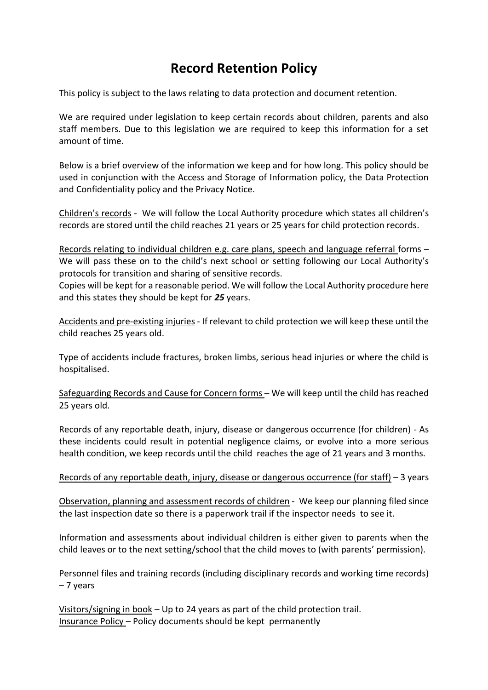## **Record Retention Policy**

This policy is subject to the laws relating to data protection and document retention.

We are required under legislation to keep certain records about children, parents and also staff members. Due to this legislation we are required to keep this information for a set amount of time.

Below is a brief overview of the information we keep and for how long. This policy should be used in conjunction with the Access and Storage of Information policy, the Data Protection and Confidentiality policy and the Privacy Notice.

Children's records - We will follow the Local Authority procedure which states all children's records are stored until the child reaches 21 years or 25 years for child protection records.

Records relating to individual children e.g. care plans, speech and language referral forms – We will pass these on to the child's next school or setting following our Local Authority's protocols for transition and sharing of sensitive records.

Copies will be kept for a reasonable period. We will follow the Local Authority procedure here and this states they should be kept for *25* years.

Accidents and pre-existing injuries - If relevant to child protection we will keep these until the child reaches 25 years old.

Type of accidents include fractures, broken limbs, serious head injuries or where the child is hospitalised.

Safeguarding Records and Cause for Concern forms – We will keep until the child has reached 25 years old.

Records of any reportable death, injury, disease or dangerous occurrence (for children) - As these incidents could result in potential negligence claims, or evolve into a more serious health condition, we keep records until the child reaches the age of 21 years and 3 months.

## Records of any reportable death, injury, disease or dangerous occurrence (for staff) - 3 years

Observation, planning and assessment records of children - We keep our planning filed since the last inspection date so there is a paperwork trail if the inspector needs to see it.

Information and assessments about individual children is either given to parents when the child leaves or to the next setting/school that the child moves to (with parents' permission).

Personnel files and training records (including disciplinary records and working time records) – 7 years

Visitors/signing in book – Up to 24 years as part of the child protection trail. Insurance Policy – Policy documents should be kept permanently